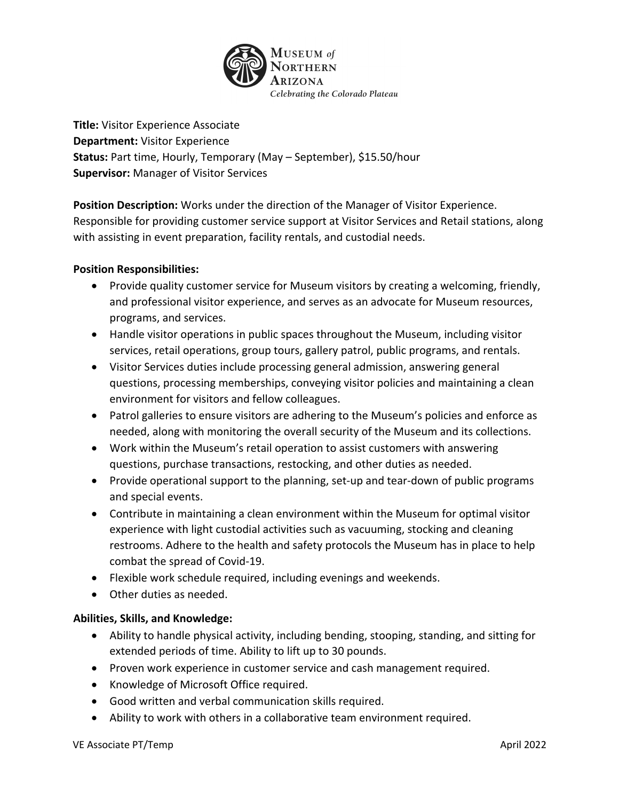

**Title:** Visitor Experience Associate **Department:** Visitor Experience **Status:** Part time, Hourly, Temporary (May – September), \$15.50/hour **Supervisor:** Manager of Visitor Services

**Position Description:** Works under the direction of the Manager of Visitor Experience. Responsible for providing customer service support at Visitor Services and Retail stations, along with assisting in event preparation, facility rentals, and custodial needs.

# **Position Responsibilities:**

- Provide quality customer service for Museum visitors by creating a welcoming, friendly, and professional visitor experience, and serves as an advocate for Museum resources, programs, and services.
- Handle visitor operations in public spaces throughout the Museum, including visitor services, retail operations, group tours, gallery patrol, public programs, and rentals.
- Visitor Services duties include processing general admission, answering general questions, processing memberships, conveying visitor policies and maintaining a clean environment for visitors and fellow colleagues.
- Patrol galleries to ensure visitors are adhering to the Museum's policies and enforce as needed, along with monitoring the overall security of the Museum and its collections.
- Work within the Museum's retail operation to assist customers with answering questions, purchase transactions, restocking, and other duties as needed.
- Provide operational support to the planning, set-up and tear-down of public programs and special events.
- Contribute in maintaining a clean environment within the Museum for optimal visitor experience with light custodial activities such as vacuuming, stocking and cleaning restrooms. Adhere to the health and safety protocols the Museum has in place to help combat the spread of Covid-19.
- Flexible work schedule required, including evenings and weekends.
- Other duties as needed.

# **Abilities, Skills, and Knowledge:**

- Ability to handle physical activity, including bending, stooping, standing, and sitting for extended periods of time. Ability to lift up to 30 pounds.
- Proven work experience in customer service and cash management required.
- Knowledge of Microsoft Office required.
- Good written and verbal communication skills required.
- Ability to work with others in a collaborative team environment required.